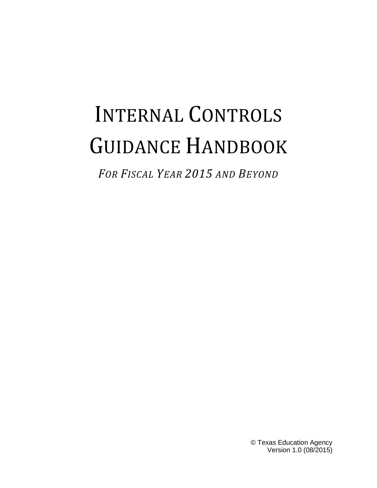# INTERNAL CONTROLS GUIDANCE HANDBOOK

*FOR FISCAL YEAR 2015 AND BEYOND*

© Texas Education Agency Version 1.0 (08/2015)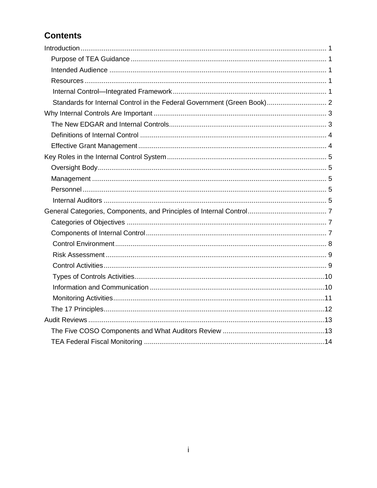# **Contents**

| Standards for Internal Control in the Federal Government (Green Book) 2 |  |
|-------------------------------------------------------------------------|--|
|                                                                         |  |
|                                                                         |  |
|                                                                         |  |
|                                                                         |  |
|                                                                         |  |
|                                                                         |  |
|                                                                         |  |
|                                                                         |  |
|                                                                         |  |
|                                                                         |  |
|                                                                         |  |
|                                                                         |  |
|                                                                         |  |
|                                                                         |  |
|                                                                         |  |
|                                                                         |  |
|                                                                         |  |
|                                                                         |  |
|                                                                         |  |
|                                                                         |  |
|                                                                         |  |
|                                                                         |  |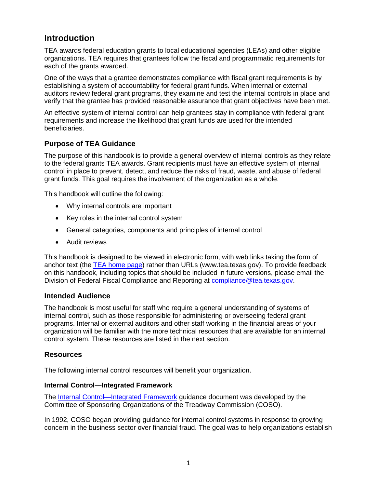# <span id="page-2-0"></span>**Introduction**

TEA awards federal education grants to local educational agencies (LEAs) and other eligible organizations. TEA requires that grantees follow the fiscal and programmatic requirements for each of the grants awarded.

One of the ways that a grantee demonstrates compliance with fiscal grant requirements is by establishing a system of accountability for federal grant funds. When internal or external auditors review federal grant programs, they examine and test the internal controls in place and verify that the grantee has provided reasonable assurance that grant objectives have been met.

An effective system of internal control can help grantees stay in compliance with federal grant requirements and increase the likelihood that grant funds are used for the intended beneficiaries.

## <span id="page-2-1"></span>**Purpose of TEA Guidance**

The purpose of this handbook is to provide a general overview of internal controls as they relate to the federal grants TEA awards. Grant recipients must have an effective system of internal control in place to prevent, detect, and reduce the risks of fraud, waste, and abuse of federal grant funds. This goal requires the involvement of the organization as a whole.

This handbook will outline the following:

- Why internal controls are important
- Key roles in the internal control system
- General categories, components and principles of internal control
- Audit reviews

This handbook is designed to be viewed in electronic form, with web links taking the form of anchor text (the [TEA home page\)](http://www.tea.texas.gov/) rather than URLs (www.tea.texas.gov). To provide feedback on this handbook, including topics that should be included in future versions, please email the Division of Federal Fiscal Compliance and Reporting at [compliance@tea.texas.gov.](mailto:compliance@tea.texas.gov)

## <span id="page-2-2"></span>**Intended Audience**

The handbook is most useful for staff who require a general understanding of systems of internal control, such as those responsible for administering or overseeing federal grant programs. Internal or external auditors and other staff working in the financial areas of your organization will be familiar with the more technical resources that are available for an internal control system. These resources are listed in the next section.

## <span id="page-2-3"></span>**Resources**

The following internal control resources will benefit your organization.

#### <span id="page-2-4"></span>**Internal Control—Integrated Framework**

The [Internal Control—Integrated Framework](http://coso.org/IC.htm) guidance document was developed by the Committee of Sponsoring Organizations of the Treadway Commission (COSO).

In 1992, COSO began providing guidance for internal control systems in response to growing concern in the business sector over financial fraud. The goal was to help organizations establish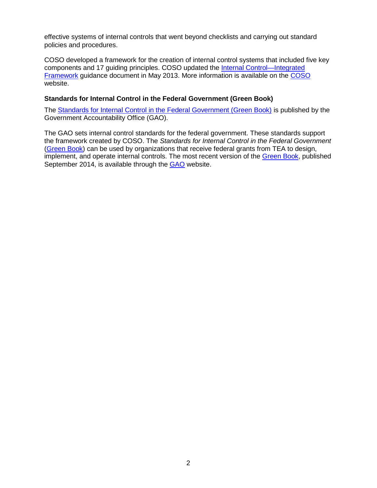effective systems of internal controls that went beyond checklists and carrying out standard policies and procedures.

COSO developed a framework for the creation of internal control systems that included five key components and 17 guiding principles. COSO updated the [Internal Control—Integrated](http://coso.org/IC.htm)  [Framework](http://coso.org/IC.htm) guidance document in May 2013. More information is available on the [COSO](http://coso.org/) website.

## <span id="page-3-0"></span>**Standards for Internal Control in the Federal Government (Green Book)**

The [Standards for Internal Control in the Federal Government \(Green Book\)](http://www.gao.gov/greenbook/overview) is published by the Government Accountability Office (GAO).

The GAO sets internal control standards for the federal government. These standards support the framework created by COSO. The *Standards for Internal Control in the Federal Government*  [\(Green Book\)](http://www.gao.gov/greenbook/overview) can be used by organizations that receive federal grants from TEA to design, implement, and operate internal controls. The most recent version of the [Green Book,](http://www.gao.gov/greenbook/overview) published September 2014, is available through the [GAO](http://www.gao.gov/greenbook/overview) website.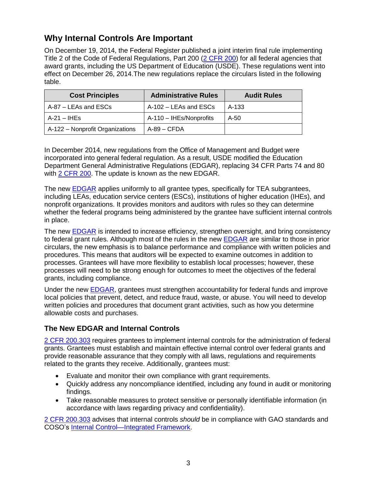# <span id="page-4-0"></span>**Why Internal Controls Are Important**

On December 19, 2014, the Federal Register published a joint interim final rule implementing Title 2 of the Code of Federal Regulations, Part 200 [\(2 CFR 200\)](http://www.ecfr.gov/cgi-bin/text-idx?SID=daf9f454d79344ef884779e46a9acd2f&node=pt2.1.200&rgn=div5#_top) for all federal agencies that award grants, including the US Department of Education (USDE). These regulations went into effect on December 26, 2014.The new regulations replace the circulars listed in the following table.

| <b>Cost Principles</b>          | <b>Administrative Rules</b> | <b>Audit Rules</b> |
|---------------------------------|-----------------------------|--------------------|
| A-87 – LEAs and ESCs            | A-102 – LEAs and ESCs       | A-133              |
| A-21 – IHEs                     | A-110 - IHEs/Nonprofits     | A-50               |
| A-122 – Nonprofit Organizations | A-89 – CFDA                 |                    |

In December 2014, new regulations from the Office of Management and Budget were incorporated into general federal regulation. As a result, USDE modified the Education Department General Administrative Regulations (EDGAR), replacing 34 CFR Parts 74 and 80 with [2 CFR 200.](http://www.ecfr.gov/cgi-bin/text-idx?SID=daf9f454d79344ef884779e46a9acd2f&node=pt2.1.200&rgn=div5#_top) The update is known as the new EDGAR.

The new **EDGAR** applies uniformly to all grantee types, specifically for TEA subgrantees, including LEAs, education service centers (ESCs), institutions of higher education (IHEs), and nonprofit organizations. It provides monitors and auditors with rules so they can determine whether the federal programs being administered by the grantee have sufficient internal controls in place.

The new [EDGAR](http://www2.ed.gov/policy/fund/guid/uniform-guidance/index.html) is intended to increase efficiency, strengthen oversight, and bring consistency to federal grant rules. Although most of the rules in the new [EDGAR](http://www2.ed.gov/policy/fund/guid/uniform-guidance/index.html) are similar to those in prior circulars, the new emphasis is to balance performance and compliance with written policies and procedures. This means that auditors will be expected to examine outcomes in addition to processes. Grantees will have more flexibility to establish local processes; however, these processes will need to be strong enough for outcomes to meet the objectives of the federal grants, including compliance.

Under the new [EDGAR,](http://www2.ed.gov/policy/fund/guid/uniform-guidance/index.html) grantees must strengthen accountability for federal funds and improve local policies that prevent, detect, and reduce fraud, waste, or abuse. You will need to develop written policies and procedures that document grant activities, such as how you determine allowable costs and purchases.

# <span id="page-4-1"></span>**The New EDGAR and Internal Controls**

[2 CFR 200.303](http://www.ecfr.gov/cgi-bin/text-idx?SID=daf9f454d79344ef884779e46a9acd2f&node=pt2.1.200&rgn=div5#se2.1.200_1303) requires grantees to implement internal controls for the administration of federal grants. Grantees must establish and maintain effective internal control over federal grants and provide reasonable assurance that they comply with all laws, regulations and requirements related to the grants they receive. Additionally, grantees must:

- Evaluate and monitor their own compliance with grant requirements.
- Quickly address any noncompliance identified, including any found in audit or monitoring findings.
- Take reasonable measures to protect sensitive or personally identifiable information (in accordance with laws regarding privacy and confidentiality).

[2 CFR 200.303](http://www.ecfr.gov/cgi-bin/text-idx?SID=daf9f454d79344ef884779e46a9acd2f&node=pt2.1.200&rgn=div5#se2.1.200_1303) advises that internal controls *should* be in compliance with GAO standards and COSO's [Internal Control—Integrated Framework.](http://coso.org/IC.htm)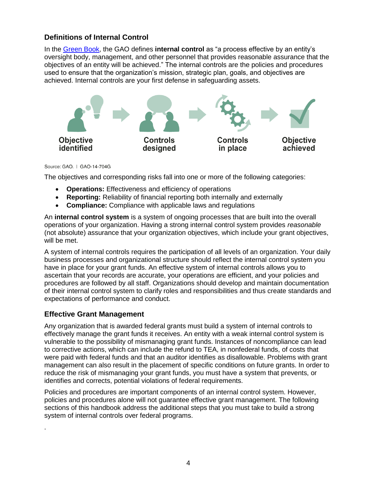## <span id="page-5-0"></span>**Definitions of Internal Control**

In the [Green Book,](http://www.gao.gov/greenbook/overview) the GAO defines **internal control** as "a process effective by an entity's oversight body, management, and other personnel that provides reasonable assurance that the objectives of an entity will be achieved." The internal controls are the policies and procedures used to ensure that the organization's mission, strategic plan, goals, and objectives are achieved. Internal controls are your first defense in safeguarding assets.



#### Source: GAO. | GAO-14-704G

The objectives and corresponding risks fall into one or more of the following categories:

- **Operations:** Effectiveness and efficiency of operations
- **Reporting:** Reliability of financial reporting both internally and externally
- **Compliance:** Compliance with applicable laws and regulations

An **internal control system** is a system of ongoing processes that are built into the overall operations of your organization. Having a strong internal control system provides *reasonable* (not absolute) assurance that your organization objectives, which include your grant objectives, will be met.

A system of internal controls requires the participation of all levels of an organization. Your daily business processes and organizational structure should reflect the internal control system you have in place for your grant funds. An effective system of internal controls allows you to ascertain that your records are accurate, your operations are efficient, and your policies and procedures are followed by all staff. Organizations should develop and maintain documentation of their internal control system to clarify roles and responsibilities and thus create standards and expectations of performance and conduct.

## <span id="page-5-1"></span>**Effective Grant Management**

.

Any organization that is awarded federal grants must build a system of internal controls to effectively manage the grant funds it receives. An entity with a weak internal control system is vulnerable to the possibility of mismanaging grant funds. Instances of noncompliance can lead to corrective actions, which can include the refund to TEA, in nonfederal funds, of costs that were paid with federal funds and that an auditor identifies as disallowable. Problems with grant management can also result in the placement of specific conditions on future grants. In order to reduce the risk of mismanaging your grant funds, you must have a system that prevents, or identifies and corrects, potential violations of federal requirements.

Policies and procedures are important components of an internal control system. However, policies and procedures alone will not guarantee effective grant management. The following sections of this handbook address the additional steps that you must take to build a strong system of internal controls over federal programs.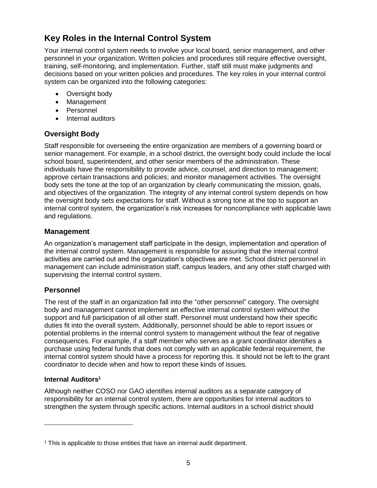# <span id="page-6-0"></span>**Key Roles in the Internal Control System**

Your internal control system needs to involve your local board, senior management, and other personnel in your organization. Written policies and procedures still require effective oversight, training, self-monitoring, and implementation. Further, staff still must make judgments and decisions based on your written policies and procedures. The key roles in your internal control system can be organized into the following categories:

- Oversight body
- Management
- Personnel
- Internal auditors

# <span id="page-6-1"></span>**Oversight Body**

Staff responsible for overseeing the entire organization are members of a governing board or senior management. For example, in a school district, the oversight body could include the local school board, superintendent, and other senior members of the administration. These individuals have the responsibility to provide advice, counsel, and direction to management; approve certain transactions and policies; and monitor management activities. The oversight body sets the tone at the top of an organization by clearly communicating the mission, goals, and objectives of the organization. The integrity of any internal control system depends on how the oversight body sets expectations for staff. Without a strong tone at the top to support an internal control system, the organization's risk increases for noncompliance with applicable laws and regulations.

## <span id="page-6-2"></span>**Management**

An organization's management staff participate in the design, implementation and operation of the internal control system. Management is responsible for assuring that the internal control activities are carried out and the organization's objectives are met. School district personnel in management can include administration staff, campus leaders, and any other staff charged with supervising the internal control system.

# <span id="page-6-3"></span>**Personnel**

The rest of the staff in an organization fall into the "other personnel" category. The oversight body and management cannot implement an effective internal control system without the support and full participation of all other staff. Personnel must understand how their specific duties fit into the overall system. Additionally, personnel should be able to report issues or potential problems in the internal control system to management without the fear of negative consequences. For example, if a staff member who serves as a grant coordinator identifies a purchase using federal funds that does not comply with an applicable federal requirement, the internal control system should have a process for reporting this. It should not be left to the grant coordinator to decide when and how to report these kinds of issues.

## <span id="page-6-4"></span>**Internal Auditors<sup>1</sup>**

Although neither COSO nor GAO identifies internal auditors as a separate category of responsibility for an internal control system, there are opportunities for internal auditors to strengthen the system through specific actions. Internal auditors in a school district should

<sup>&</sup>lt;sup>1</sup> This is applicable to those entities that have an internal audit department.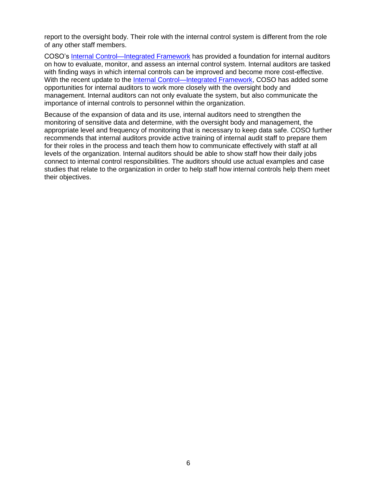report to the oversight body. Their role with the internal control system is different from the role of any other staff members.

COSO's [Internal Control—Integrated Framework](http://coso.org/IC.htm) has provided a foundation for internal auditors on how to evaluate, monitor, and assess an internal control system. Internal auditors are tasked with finding ways in which internal controls can be improved and become more cost-effective. With the recent update to the [Internal Control—Integrated Framework,](http://coso.org/IC.htm) COSO has added some opportunities for internal auditors to work more closely with the oversight body and management. Internal auditors can not only evaluate the system, but also communicate the importance of internal controls to personnel within the organization.

Because of the expansion of data and its use, internal auditors need to strengthen the monitoring of sensitive data and determine, with the oversight body and management, the appropriate level and frequency of monitoring that is necessary to keep data safe. COSO further recommends that internal auditors provide active training of internal audit staff to prepare them for their roles in the process and teach them how to communicate effectively with staff at all levels of the organization. Internal auditors should be able to show staff how their daily jobs connect to internal control responsibilities. The auditors should use actual examples and case studies that relate to the organization in order to help staff how internal controls help them meet their objectives.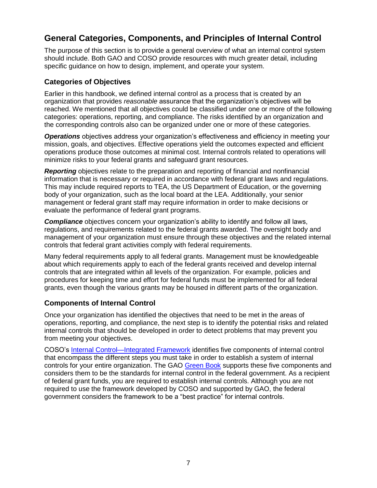# <span id="page-8-0"></span>**General Categories, Components, and Principles of Internal Control**

The purpose of this section is to provide a general overview of what an internal control system should include. Both GAO and COSO provide resources with much greater detail, including specific guidance on how to design, implement, and operate your system.

## <span id="page-8-1"></span>**Categories of Objectives**

Earlier in this handbook, we defined internal control as a process that is created by an organization that provides *reasonable* assurance that the organization's objectives will be reached. We mentioned that all objectives could be classified under one or more of the following categories: operations, reporting, and compliance. The risks identified by an organization and the corresponding controls also can be organized under one or more of these categories.

*Operations* objectives address your organization's effectiveness and efficiency in meeting your mission, goals, and objectives. Effective operations yield the outcomes expected and efficient operations produce those outcomes at minimal cost. Internal controls related to operations will minimize risks to your federal grants and safeguard grant resources.

*Reporting* objectives relate to the preparation and reporting of financial and nonfinancial information that is necessary or required in accordance with federal grant laws and regulations. This may include required reports to TEA, the US Department of Education, or the governing body of your organization, such as the local board at the LEA. Additionally, your senior management or federal grant staff may require information in order to make decisions or evaluate the performance of federal grant programs.

*Compliance* objectives concern your organization's ability to identify and follow all laws, regulations, and requirements related to the federal grants awarded. The oversight body and management of your organization must ensure through these objectives and the related internal controls that federal grant activities comply with federal requirements.

Many federal requirements apply to all federal grants. Management must be knowledgeable about which requirements apply to each of the federal grants received and develop internal controls that are integrated within all levels of the organization. For example, policies and procedures for keeping time and effort for federal funds must be implemented for all federal grants, even though the various grants may be housed in different parts of the organization.

# <span id="page-8-2"></span>**Components of Internal Control**

Once your organization has identified the objectives that need to be met in the areas of operations, reporting, and compliance, the next step is to identify the potential risks and related internal controls that should be developed in order to detect problems that may prevent you from meeting your objectives.

COSO's [Internal Control—Integrated Framework](http://coso.org/IC.htm) identifies five components of internal control that encompass the different steps you must take in order to establish a system of internal controls for your entire organization. The GAO [Green Book](http://www.gao.gov/greenbook/overview) supports these five components and considers them to be the standards for internal control in the federal government. As a recipient of federal grant funds, you are required to establish internal controls. Although you are not required to use the framework developed by COSO and supported by GAO, the federal government considers the framework to be a "best practice" for internal controls.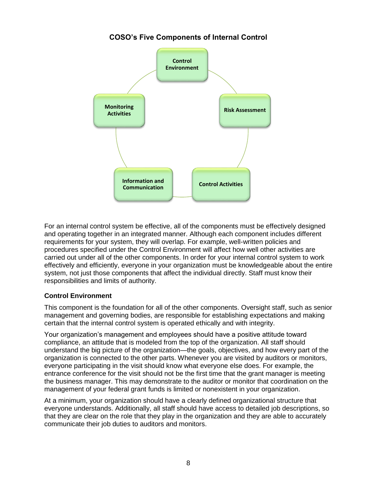# **COSO's Five Components of Internal Control**



For an internal control system be effective, all of the components must be effectively designed and operating together in an integrated manner. Although each component includes different requirements for your system, they will overlap. For example, well-written policies and procedures specified under the Control Environment will affect how well other activities are carried out under all of the other components. In order for your internal control system to work effectively and efficiently, everyone in your organization must be knowledgeable about the entire system, not just those components that affect the individual directly. Staff must know their responsibilities and limits of authority.

## <span id="page-9-0"></span>**Control Environment**

This component is the foundation for all of the other components. Oversight staff, such as senior management and governing bodies, are responsible for establishing expectations and making certain that the internal control system is operated ethically and with integrity.

Your organization's management and employees should have a positive attitude toward compliance, an attitude that is modeled from the top of the organization. All staff should understand the big picture of the organization—the goals, objectives, and how every part of the organization is connected to the other parts. Whenever you are visited by auditors or monitors, everyone participating in the visit should know what everyone else does. For example, the entrance conference for the visit should not be the first time that the grant manager is meeting the business manager. This may demonstrate to the auditor or monitor that coordination on the management of your federal grant funds is limited or nonexistent in your organization.

At a minimum, your organization should have a clearly defined organizational structure that everyone understands. Additionally, all staff should have access to detailed job descriptions, so that they are clear on the role that they play in the organization and they are able to accurately communicate their job duties to auditors and monitors.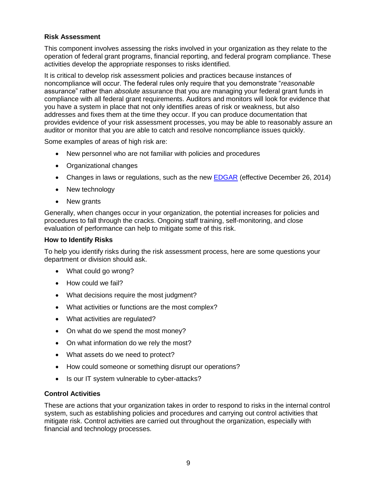## <span id="page-10-0"></span>**Risk Assessment**

This component involves assessing the risks involved in your organization as they relate to the operation of federal grant programs, financial reporting, and federal program compliance. These activities develop the appropriate responses to risks identified.

It is critical to develop risk assessment policies and practices because instances of noncompliance will occur. The federal rules only require that you demonstrate "*reasonable* assurance" rather than *absolute* assurance that you are managing your federal grant funds in compliance with all federal grant requirements. Auditors and monitors will look for evidence that you have a system in place that not only identifies areas of risk or weakness, but also addresses and fixes them at the time they occur. If you can produce documentation that provides evidence of your risk assessment processes, you may be able to reasonably assure an auditor or monitor that you are able to catch and resolve noncompliance issues quickly.

Some examples of areas of high risk are:

- New personnel who are not familiar with policies and procedures
- Organizational changes
- Changes in laws or regulations, such as the new [EDGAR](http://www2.ed.gov/policy/fund/guid/uniform-guidance/index.html) (effective December 26, 2014)
- New technology
- New grants

Generally, when changes occur in your organization, the potential increases for policies and procedures to fall through the cracks. Ongoing staff training, self-monitoring, and close evaluation of performance can help to mitigate some of this risk.

## **How to Identify Risks**

To help you identify risks during the risk assessment process, here are some questions your department or division should ask.

- What could go wrong?
- How could we fail?
- What decisions require the most judgment?
- What activities or functions are the most complex?
- What activities are regulated?
- On what do we spend the most money?
- On what information do we rely the most?
- What assets do we need to protect?
- How could someone or something disrupt our operations?
- Is our IT system vulnerable to cyber-attacks?

## <span id="page-10-1"></span>**Control Activities**

These are actions that your organization takes in order to respond to risks in the internal control system, such as establishing policies and procedures and carrying out control activities that mitigate risk. Control activities are carried out throughout the organization, especially with financial and technology processes.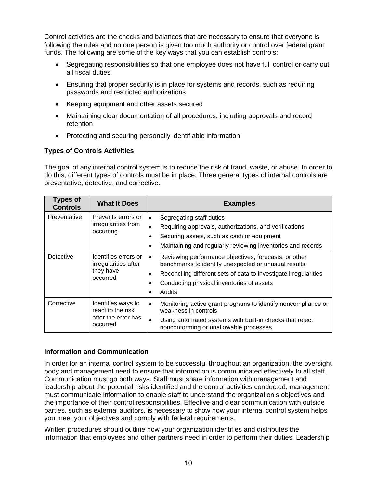Control activities are the checks and balances that are necessary to ensure that everyone is following the rules and no one person is given too much authority or control over federal grant funds. The following are some of the key ways that you can establish controls:

- Segregating responsibilities so that one employee does not have full control or carry out all fiscal duties
- Ensuring that proper security is in place for systems and records, such as requiring passwords and restricted authorizations
- Keeping equipment and other assets secured
- Maintaining clear documentation of all procedures, including approvals and record retention
- Protecting and securing personally identifiable information

## <span id="page-11-0"></span>**Types of Controls Activities**

The goal of any internal control system is to reduce the risk of fraud, waste, or abuse. In order to do this, different types of controls must be in place. Three general types of internal controls are preventative, detective, and corrective.

| <b>Types of</b><br><b>Controls</b> | <b>What It Does</b>                                                        | <b>Examples</b>                                                                                                                                                                                                                                                                              |
|------------------------------------|----------------------------------------------------------------------------|----------------------------------------------------------------------------------------------------------------------------------------------------------------------------------------------------------------------------------------------------------------------------------------------|
| Preventative                       | Prevents errors or<br>irregularities from<br>occurring                     | Segregating staff duties<br>$\bullet$<br>Requiring approvals, authorizations, and verifications<br>$\bullet$<br>Securing assets, such as cash or equipment<br>٠<br>Maintaining and regularly reviewing inventories and records                                                               |
| Detective                          | Identifies errors or<br>irregularities after<br>they have<br>occurred      | Reviewing performance objectives, forecasts, or other<br>$\bullet$<br>benchmarks to identify unexpected or unusual results<br>Reconciling different sets of data to investigate irregularities<br>$\bullet$<br>Conducting physical inventories of assets<br>$\bullet$<br>Audits<br>$\bullet$ |
| Corrective                         | Identifies ways to<br>react to the risk<br>after the error has<br>occurred | Monitoring active grant programs to identify noncompliance or<br>$\bullet$<br>weakness in controls<br>Using automated systems with built-in checks that reject<br>$\bullet$<br>nonconforming or unallowable processes                                                                        |

## <span id="page-11-1"></span>**Information and Communication**

In order for an internal control system to be successful throughout an organization, the oversight body and management need to ensure that information is communicated effectively to all staff. Communication must go both ways. Staff must share information with management and leadership about the potential risks identified and the control activities conducted; management must communicate information to enable staff to understand the organization's objectives and the importance of their control responsibilities. Effective and clear communication with outside parties, such as external auditors, is necessary to show how your internal control system helps you meet your objectives and comply with federal requirements.

Written procedures should outline how your organization identifies and distributes the information that employees and other partners need in order to perform their duties. Leadership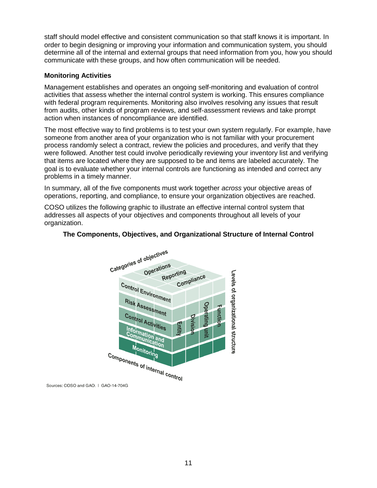staff should model effective and consistent communication so that staff knows it is important. In order to begin designing or improving your information and communication system, you should determine all of the internal and external groups that need information from you, how you should communicate with these groups, and how often communication will be needed.

## <span id="page-12-0"></span>**Monitoring Activities**

Management establishes and operates an ongoing self-monitoring and evaluation of control activities that assess whether the internal control system is working. This ensures compliance with federal program requirements. Monitoring also involves resolving any issues that result from audits, other kinds of program reviews, and self-assessment reviews and take prompt action when instances of noncompliance are identified.

The most effective way to find problems is to test your own system regularly. For example, have someone from another area of your organization who is not familiar with your procurement process randomly select a contract, review the policies and procedures, and verify that they were followed. Another test could involve periodically reviewing your inventory list and verifying that items are located where they are supposed to be and items are labeled accurately. The goal is to evaluate whether your internal controls are functioning as intended and correct any problems in a timely manner.

In summary, all of the five components must work together *across* your objective areas of operations, reporting, and compliance, to ensure your organization objectives are reached.

COSO utilizes the following graphic to illustrate an effective internal control system that addresses all aspects of your objectives and components throughout all levels of your organization.



## **The Components, Objectives, and Organizational Structure of Internal Control**

Sources: COSO and GAO. | GAO-14-704G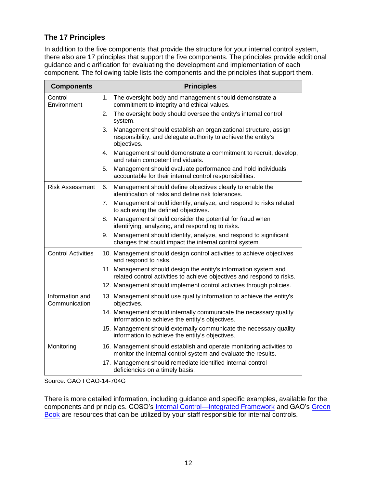# <span id="page-13-0"></span>**The 17 Principles**

In addition to the five components that provide the structure for your internal control system, there also are 17 principles that support the five components. The principles provide additional guidance and clarification for evaluating the development and implementation of each component. The following table lists the components and the principles that support them.

| <b>Components</b>                | <b>Principles</b>                                                                                                                                      |
|----------------------------------|--------------------------------------------------------------------------------------------------------------------------------------------------------|
| Control<br>Environment           | 1.<br>The oversight body and management should demonstrate a<br>commitment to integrity and ethical values.                                            |
|                                  | The oversight body should oversee the entity's internal control<br>2.<br>system.                                                                       |
|                                  | Management should establish an organizational structure, assign<br>3.<br>responsibility, and delegate authority to achieve the entity's<br>objectives. |
|                                  | Management should demonstrate a commitment to recruit, develop,<br>4.<br>and retain competent individuals.                                             |
|                                  | 5.<br>Management should evaluate performance and hold individuals<br>accountable for their internal control responsibilities.                          |
| <b>Risk Assessment</b>           | Management should define objectives clearly to enable the<br>6.<br>identification of risks and define risk tolerances.                                 |
|                                  | Management should identify, analyze, and respond to risks related<br>7.<br>to achieving the defined objectives.                                        |
|                                  | Management should consider the potential for fraud when<br>8.<br>identifying, analyzing, and responding to risks.                                      |
|                                  | Management should identify, analyze, and respond to significant<br>9.<br>changes that could impact the internal control system.                        |
| <b>Control Activities</b>        | 10. Management should design control activities to achieve objectives<br>and respond to risks.                                                         |
|                                  | 11. Management should design the entity's information system and<br>related control activities to achieve objectives and respond to risks.             |
|                                  | 12. Management should implement control activities through policies.                                                                                   |
| Information and<br>Communication | 13. Management should use quality information to achieve the entity's<br>objectives.                                                                   |
|                                  | 14. Management should internally communicate the necessary quality<br>information to achieve the entity's objectives.                                  |
|                                  | 15. Management should externally communicate the necessary quality<br>information to achieve the entity's objectives.                                  |
| Monitoring                       | 16. Management should establish and operate monitoring activities to<br>monitor the internal control system and evaluate the results.                  |
|                                  | 17. Management should remediate identified internal control<br>deficiencies on a timely basis.                                                         |

Source: GAO I GAO-14-704G

There is more detailed information, including guidance and specific examples, available for the components and principles. COSO's Internal Control-Integrated Framework and GAO's Green [Book](http://www.gao.gov/greenbook/overview) are resources that can be utilized by your staff responsible for internal controls.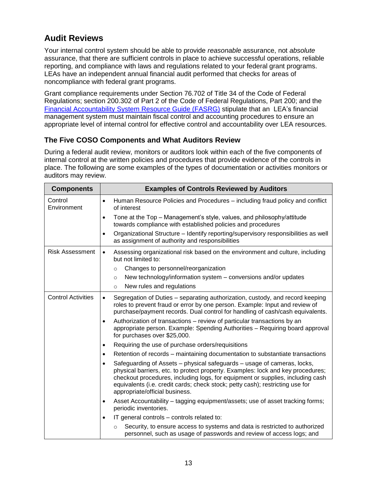# <span id="page-14-0"></span>**Audit Reviews**

Your internal control system should be able to provide *reasonable* assurance, not *absolute*  assurance, that there are sufficient controls in place to achieve successful operations, reliable reporting, and compliance with laws and regulations related to your federal grant programs. LEAs have an independent annual financial audit performed that checks for areas of noncompliance with federal grant programs.

Grant compliance requirements under Section 76.702 of Title 34 of the Code of Federal Regulations; section 200.302 of Part 2 of the Code of Federal Regulations, Part 200; and the [Financial Accountability System Resource Guide \(FASRG\)](http://www.tea.state.tx.us/index4.aspx?id=1222&menu_id=645&menu_id2=789) stipulate that an LEA's financial management system must maintain fiscal control and accounting procedures to ensure an appropriate level of internal control for effective control and accountability over LEA resources.

## <span id="page-14-1"></span>**The Five COSO Components and What Auditors Review**

During a federal audit review, monitors or auditors look within each of the five components of internal control at the written policies and procedures that provide evidence of the controls in place. The following are some examples of the types of documentation or activities monitors or auditors may review.

| <b>Components</b>         | <b>Examples of Controls Reviewed by Auditors</b>                                                                                                                                                                                                                                                                                                                             |
|---------------------------|------------------------------------------------------------------------------------------------------------------------------------------------------------------------------------------------------------------------------------------------------------------------------------------------------------------------------------------------------------------------------|
| Control<br>Environment    | Human Resource Policies and Procedures - including fraud policy and conflict<br>$\bullet$<br>of interest                                                                                                                                                                                                                                                                     |
|                           | Tone at the Top - Management's style, values, and philosophy/attitude<br>$\bullet$<br>towards compliance with established policies and procedures                                                                                                                                                                                                                            |
|                           | Organizational Structure - Identify reporting/supervisory responsibilities as well<br>$\bullet$<br>as assignment of authority and responsibilities                                                                                                                                                                                                                           |
| <b>Risk Assessment</b>    | Assessing organizational risk based on the environment and culture, including<br>$\bullet$<br>but not limited to:                                                                                                                                                                                                                                                            |
|                           | Changes to personnel/reorganization<br>$\circ$                                                                                                                                                                                                                                                                                                                               |
|                           | New technology/information system - conversions and/or updates<br>$\circ$                                                                                                                                                                                                                                                                                                    |
|                           | New rules and regulations<br>$\circ$                                                                                                                                                                                                                                                                                                                                         |
| <b>Control Activities</b> | Segregation of Duties - separating authorization, custody, and record keeping<br>$\bullet$<br>roles to prevent fraud or error by one person. Example: Input and review of<br>purchase/payment records. Dual control for handling of cash/cash equivalents.                                                                                                                   |
|                           | Authorization of transactions - review of particular transactions by an<br>$\bullet$<br>appropriate person. Example: Spending Authorities - Requiring board approval<br>for purchases over \$25,000.                                                                                                                                                                         |
|                           | Requiring the use of purchase orders/requisitions<br>$\bullet$                                                                                                                                                                                                                                                                                                               |
|                           | Retention of records – maintaining documentation to substantiate transactions<br>$\bullet$                                                                                                                                                                                                                                                                                   |
|                           | Safeguarding of Assets – physical safeguards – usage of cameras, locks,<br>$\bullet$<br>physical barriers, etc. to protect property. Examples: lock and key procedures;<br>checkout procedures, including logs, for equipment or supplies, including cash<br>equivalents (i.e. credit cards; check stock; petty cash); restricting use for<br>appropriate/official business. |
|                           | Asset Accountability – tagging equipment/assets; use of asset tracking forms;<br>$\bullet$<br>periodic inventories.                                                                                                                                                                                                                                                          |
|                           | IT general controls - controls related to:<br>$\bullet$                                                                                                                                                                                                                                                                                                                      |
|                           | Security, to ensure access to systems and data is restricted to authorized<br>$\circ$<br>personnel, such as usage of passwords and review of access logs; and                                                                                                                                                                                                                |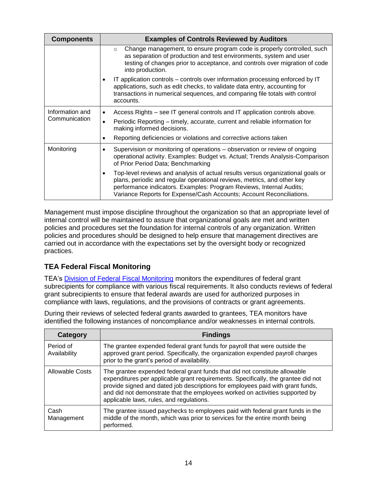| <b>Components</b>                | <b>Examples of Controls Reviewed by Auditors</b>                                                                                                                                                                                                                                                               |
|----------------------------------|----------------------------------------------------------------------------------------------------------------------------------------------------------------------------------------------------------------------------------------------------------------------------------------------------------------|
|                                  | Change management, to ensure program code is properly controlled, such<br>$\circ$<br>as separation of production and test environments, system and user<br>testing of changes prior to acceptance, and controls over migration of code<br>into production.                                                     |
|                                  | IT application controls – controls over information processing enforced by IT<br>applications, such as edit checks, to validate data entry, accounting for<br>transactions in numerical sequences, and comparing file totals with control<br>accounts.                                                         |
| Information and<br>Communication | Access Rights – see IT general controls and IT application controls above.<br>$\bullet$                                                                                                                                                                                                                        |
|                                  | Periodic Reporting – timely, accurate, current and reliable information for<br>$\bullet$<br>making informed decisions.                                                                                                                                                                                         |
|                                  | Reporting deficiencies or violations and corrective actions taken<br>٠                                                                                                                                                                                                                                         |
| Monitoring                       | Supervision or monitoring of operations - observation or review of ongoing<br>٠<br>operational activity. Examples: Budget vs. Actual; Trends Analysis-Comparison<br>of Prior Period Data; Benchmarking                                                                                                         |
|                                  | Top-level reviews and analysis of actual results versus organizational goals or<br>٠<br>plans, periodic and regular operational reviews, metrics, and other key<br>performance indicators. Examples: Program Reviews, Internal Audits;<br>Variance Reports for Expense/Cash Accounts; Account Reconciliations. |

Management must impose discipline throughout the organization so that an appropriate level of internal control will be maintained to assure that organizational goals are met and written policies and procedures set the foundation for internal controls of any organization. Written policies and procedures should be designed to help ensure that management directives are carried out in accordance with the expectations set by the oversight body or recognized practices.

# <span id="page-15-0"></span>**TEA Federal Fiscal Monitoring**

TEA's [Division of Federal Fiscal Monitoring](http://www.tea.state.tx.us/index2.aspx?id=2147511991) monitors the expenditures of federal grant subrecipients for compliance with various fiscal requirements. It also conducts reviews of federal grant subrecipients to ensure that federal awards are used for authorized purposes in compliance with laws, regulations, and the provisions of contracts or grant agreements.

During their reviews of selected federal grants awarded to grantees, TEA monitors have identified the following instances of noncompliance and/or weaknesses in internal controls.

| Category                  | <b>Findings</b>                                                                                                                                                                                                                                                                                                                                                               |
|---------------------------|-------------------------------------------------------------------------------------------------------------------------------------------------------------------------------------------------------------------------------------------------------------------------------------------------------------------------------------------------------------------------------|
| Period of<br>Availability | The grantee expended federal grant funds for payroll that were outside the<br>approved grant period. Specifically, the organization expended payroll charges<br>prior to the grant's period of availability.                                                                                                                                                                  |
| Allowable Costs           | The grantee expended federal grant funds that did not constitute allowable<br>expenditures per applicable grant requirements. Specifically, the grantee did not<br>provide signed and dated job descriptions for employees paid with grant funds,<br>and did not demonstrate that the employees worked on activities supported by<br>applicable laws, rules, and regulations. |
| Cash<br>Management        | The grantee issued paychecks to employees paid with federal grant funds in the<br>middle of the month, which was prior to services for the entire month being<br>performed.                                                                                                                                                                                                   |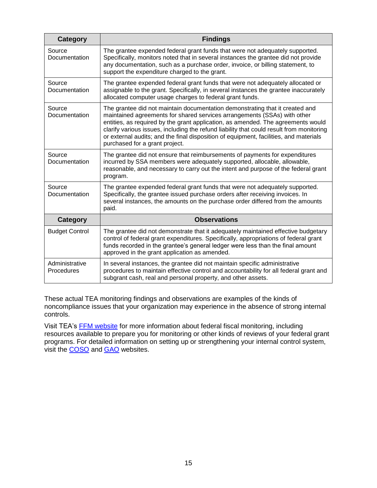| <b>Category</b>              | <b>Findings</b>                                                                                                                                                                                                                                                                                                                                                                                                                                                     |
|------------------------------|---------------------------------------------------------------------------------------------------------------------------------------------------------------------------------------------------------------------------------------------------------------------------------------------------------------------------------------------------------------------------------------------------------------------------------------------------------------------|
| Source<br>Documentation      | The grantee expended federal grant funds that were not adequately supported.<br>Specifically, monitors noted that in several instances the grantee did not provide<br>any documentation, such as a purchase order, invoice, or billing statement, to<br>support the expenditure charged to the grant.                                                                                                                                                               |
| Source<br>Documentation      | The grantee expended federal grant funds that were not adequately allocated or<br>assignable to the grant. Specifically, in several instances the grantee inaccurately<br>allocated computer usage charges to federal grant funds.                                                                                                                                                                                                                                  |
| Source<br>Documentation      | The grantee did not maintain documentation demonstrating that it created and<br>maintained agreements for shared services arrangements (SSAs) with other<br>entities, as required by the grant application, as amended. The agreements would<br>clarify various issues, including the refund liability that could result from monitoring<br>or external audits; and the final disposition of equipment, facilities, and materials<br>purchased for a grant project. |
| Source<br>Documentation      | The grantee did not ensure that reimbursements of payments for expenditures<br>incurred by SSA members were adequately supported, allocable, allowable,<br>reasonable, and necessary to carry out the intent and purpose of the federal grant<br>program.                                                                                                                                                                                                           |
| Source<br>Documentation      | The grantee expended federal grant funds that were not adequately supported.<br>Specifically, the grantee issued purchase orders after receiving invoices. In<br>several instances, the amounts on the purchase order differed from the amounts<br>paid.                                                                                                                                                                                                            |
| <b>Category</b>              | <b>Observations</b>                                                                                                                                                                                                                                                                                                                                                                                                                                                 |
| <b>Budget Control</b>        | The grantee did not demonstrate that it adequately maintained effective budgetary<br>control of federal grant expenditures. Specifically, appropriations of federal grant<br>funds recorded in the grantee's general ledger were less than the final amount<br>approved in the grant application as amended.                                                                                                                                                        |
| Administrative<br>Procedures | In several instances, the grantee did not maintain specific administrative<br>procedures to maintain effective control and accountability for all federal grant and<br>subgrant cash, real and personal property, and other assets.                                                                                                                                                                                                                                 |

These actual TEA monitoring findings and observations are examples of the kinds of noncompliance issues that your organization may experience in the absence of strong internal controls.

Visit TEA's [FFM website](http://www.tea.state.tx.us/index2.aspx?id=2147511991) for more information about federal fiscal monitoring, including resources available to prepare you for monitoring or other kinds of reviews of your federal grant programs. For detailed information on setting up or strengthening your internal control system, visit the [COSO](http://coso.org/) and [GAO](http://www.gao.gov/greenbook/overview) websites.